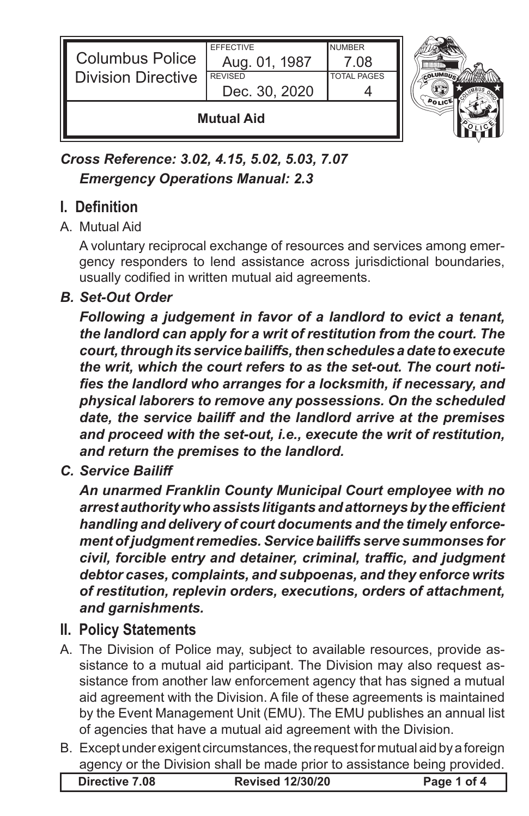

*Cross Reference: 3.02, 4.15, 5.02, 5.03, 7.07 Emergency Operations Manual: 2.3*

# **I. Definition**

#### A. Mutual Aid

A voluntary reciprocal exchange of resources and services among emergency responders to lend assistance across jurisdictional boundaries, usually codified in written mutual aid agreements.

## *B. Set-Out Order*

*Following a judgement in favor of a landlord to evict a tenant, the landlord can apply for a writ of restitution from the court. The court, through its service bailiffs, then schedules a date to execute the writ, which the court refers to as the set-out. The court notifies the landlord who arranges for a locksmith, if necessary, and physical laborers to remove any possessions. On the scheduled date, the service bailiff and the landlord arrive at the premises and proceed with the set-out, i.e., execute the writ of restitution, and return the premises to the landlord.*

*C. Service Bailiff*

*An unarmed Franklin County Municipal Court employee with no arrest authority who assists litigants and attorneys by the efficient handling and delivery of court documents and the timely enforcement of judgment remedies. Service bailiffs serve summonses for civil, forcible entry and detainer, criminal, traffic, and judgment debtor cases, complaints, and subpoenas, and they enforce writs of restitution, replevin orders, executions, orders of attachment, and garnishments.* 

## **II. Policy Statements**

- A. The Division of Police may, subject to available resources, provide assistance to a mutual aid participant. The Division may also request assistance from another law enforcement agency that has signed a mutual aid agreement with the Division. A file of these agreements is maintained by the Event Management Unit (EMU). The EMU publishes an annual list of agencies that have a mutual aid agreement with the Division.
- B. Except under exigent circumstances, the request for mutual aid by a foreign agency or the Division shall be made prior to assistance being provided.

| Directive 7.08 | <b>Revised 12/30/20</b> | Page 1 of 4 |
|----------------|-------------------------|-------------|
|----------------|-------------------------|-------------|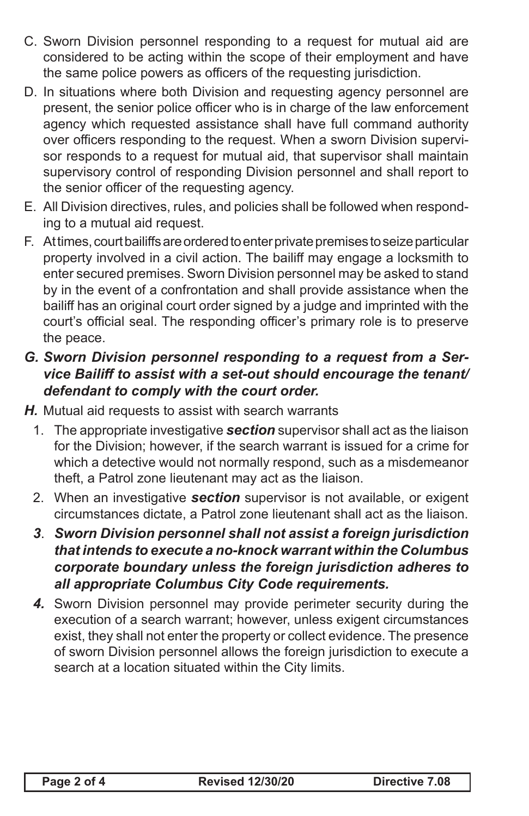- C. Sworn Division personnel responding to a request for mutual aid are considered to be acting within the scope of their employment and have the same police powers as officers of the requesting jurisdiction.
- D. In situations where both Division and requesting agency personnel are present, the senior police officer who is in charge of the law enforcement agency which requested assistance shall have full command authority over officers responding to the request. When a sworn Division supervisor responds to a request for mutual aid, that supervisor shall maintain supervisory control of responding Division personnel and shall report to the senior officer of the requesting agency.
- E. All Division directives, rules, and policies shall be followed when responding to a mutual aid request.
- F. At times, court bailiffs are ordered to enter private premises to seize particular property involved in a civil action. The bailiff may engage a locksmith to enter secured premises. Sworn Division personnel may be asked to stand by in the event of a confrontation and shall provide assistance when the bailiff has an original court order signed by a judge and imprinted with the court's official seal. The responding officer's primary role is to preserve the peace.

#### *G. Sworn Division personnel responding to a request from a Service Bailiff to assist with a set-out should encourage the tenant/ defendant to comply with the court order.*

- *H.* Mutual aid requests to assist with search warrants
	- 1. The appropriate investigative *section* supervisor shall act as the liaison for the Division; however, if the search warrant is issued for a crime for which a detective would not normally respond, such as a misdemeanor theft, a Patrol zone lieutenant may act as the liaison.
	- 2. When an investigative *section* supervisor is not available, or exigent circumstances dictate, a Patrol zone lieutenant shall act as the liaison.
	- *3*. *Sworn Division personnel shall not assist a foreign jurisdiction that intends to execute a no-knock warrant within the Columbus corporate boundary unless the foreign jurisdiction adheres to all appropriate Columbus City Code requirements.*
	- *4.* Sworn Division personnel may provide perimeter security during the execution of a search warrant; however, unless exigent circumstances exist, they shall not enter the property or collect evidence. The presence of sworn Division personnel allows the foreign jurisdiction to execute a search at a location situated within the City limits.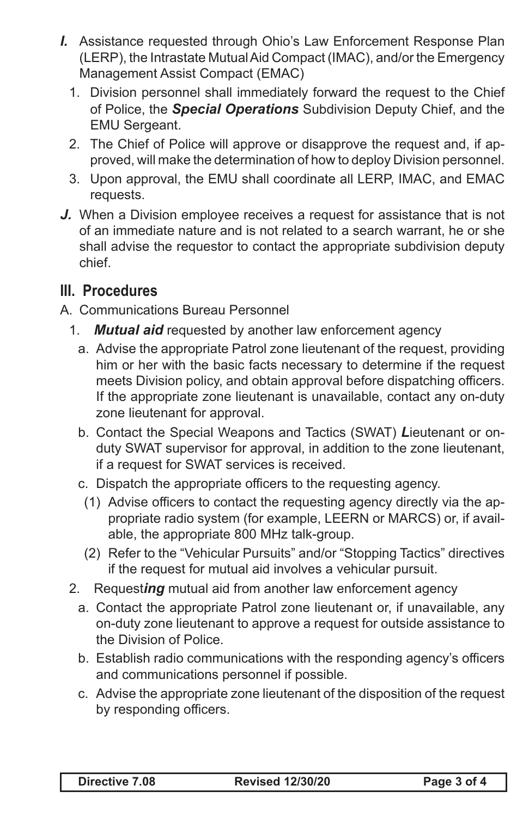- *I.* Assistance requested through Ohio's Law Enforcement Response Plan (LERP), the Intrastate Mutual Aid Compact (IMAC), and/or the Emergency Management Assist Compact (EMAC)
	- 1. Division personnel shall immediately forward the request to the Chief of Police, the *Special Operations* Subdivision Deputy Chief, and the EMU Sergeant.
	- 2. The Chief of Police will approve or disapprove the request and, if approved, will make the determination of how to deploy Division personnel.
	- 3. Upon approval, the EMU shall coordinate all LERP, IMAC, and EMAC requests.
- *J.* When a Division employee receives a request for assistance that is not of an immediate nature and is not related to a search warrant, he or she shall advise the requestor to contact the appropriate subdivision deputy chief.

## **III. Procedures**

- A. Communications Bureau Personnel
	- 1. *Mutual aid* requested by another law enforcement agency
		- a. Advise the appropriate Patrol zone lieutenant of the request, providing him or her with the basic facts necessary to determine if the request meets Division policy, and obtain approval before dispatching officers. If the appropriate zone lieutenant is unavailable, contact any on-duty zone lieutenant for approval.
		- b. Contact the Special Weapons and Tactics (SWAT) *L*ieutenant or onduty SWAT supervisor for approval, in addition to the zone lieutenant, if a request for SWAT services is received.
		- c. Dispatch the appropriate officers to the requesting agency.
		- (1) Advise officers to contact the requesting agency directly via the appropriate radio system (for example, LEERN or MARCS) or, if available, the appropriate 800 MHz talk-group.
		- (2) Refer to the "Vehicular Pursuits" and/or "Stopping Tactics" directives if the request for mutual aid involves a vehicular pursuit.
	- 2. Request*ing* mutual aid from another law enforcement agency
		- a. Contact the appropriate Patrol zone lieutenant or, if unavailable, any on-duty zone lieutenant to approve a request for outside assistance to the Division of Police.
		- b. Establish radio communications with the responding agency's officers and communications personnel if possible.
		- c. Advise the appropriate zone lieutenant of the disposition of the request by responding officers.